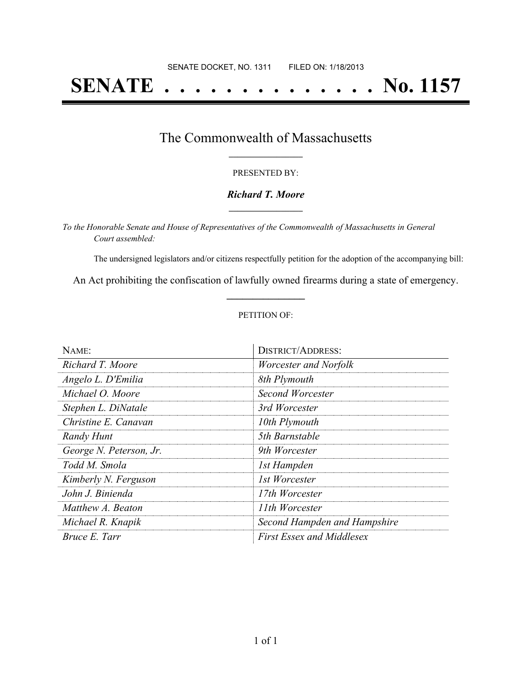# **SENATE . . . . . . . . . . . . . . No. 1157**

### The Commonwealth of Massachusetts **\_\_\_\_\_\_\_\_\_\_\_\_\_\_\_\_\_**

#### PRESENTED BY:

#### *Richard T. Moore* **\_\_\_\_\_\_\_\_\_\_\_\_\_\_\_\_\_**

*To the Honorable Senate and House of Representatives of the Commonwealth of Massachusetts in General Court assembled:*

The undersigned legislators and/or citizens respectfully petition for the adoption of the accompanying bill:

An Act prohibiting the confiscation of lawfully owned firearms during a state of emergency. **\_\_\_\_\_\_\_\_\_\_\_\_\_\_\_**

#### PETITION OF:

| NAME:                   | <b>DISTRICT/ADDRESS:</b>         |
|-------------------------|----------------------------------|
| Richard T. Moore        | Worcester and Norfolk            |
| Angelo L. D'Emilia      | 8th Plymouth                     |
| Michael O. Moore        | Second Worcester                 |
| Stephen L. DiNatale     | 3rd Worcester                    |
| Christine E. Canavan    | 10th Plymouth                    |
| Randy Hunt              | 5th Barnstable                   |
| George N. Peterson, Jr. | 9th Worcester                    |
| Todd M. Smola           | 1st Hampden                      |
| Kimberly N. Ferguson    | 1st Worcester                    |
| John J. Binienda        | 17th Worcester                   |
| Matthew A. Beaton       | 11th Worcester                   |
| Michael R. Knapik       | Second Hampden and Hampshire     |
| Bruce E. Tarr           | <b>First Essex and Middlesex</b> |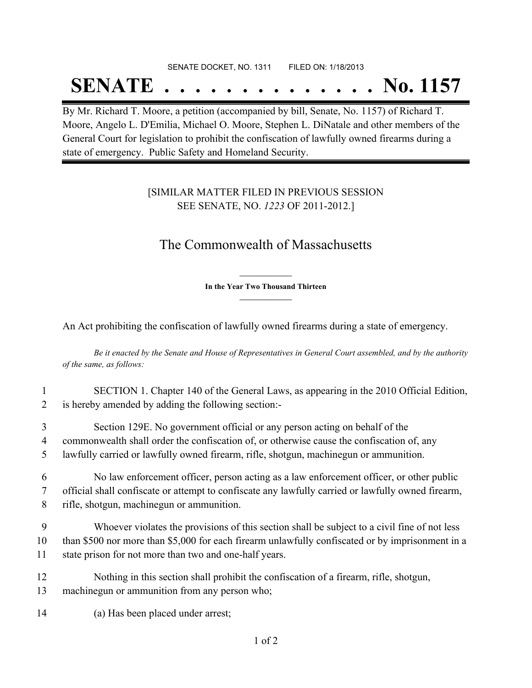## SENATE DOCKET, NO. 1311 FILED ON: 1/18/2013

## **SENATE . . . . . . . . . . . . . . No. 1157**

By Mr. Richard T. Moore, a petition (accompanied by bill, Senate, No. 1157) of Richard T. Moore, Angelo L. D'Emilia, Michael O. Moore, Stephen L. DiNatale and other members of the General Court for legislation to prohibit the confiscation of lawfully owned firearms during a state of emergency. Public Safety and Homeland Security.

### [SIMILAR MATTER FILED IN PREVIOUS SESSION SEE SENATE, NO. *1223* OF 2011-2012.]

## The Commonwealth of Massachusetts

**\_\_\_\_\_\_\_\_\_\_\_\_\_\_\_ In the Year Two Thousand Thirteen \_\_\_\_\_\_\_\_\_\_\_\_\_\_\_**

An Act prohibiting the confiscation of lawfully owned firearms during a state of emergency.

Be it enacted by the Senate and House of Representatives in General Court assembled, and by the authority *of the same, as follows:*

- 1 SECTION 1. Chapter 140 of the General Laws, as appearing in the 2010 Official Edition, 2 is hereby amended by adding the following section:-
- 3 Section 129E. No government official or any person acting on behalf of the 4 commonwealth shall order the confiscation of, or otherwise cause the confiscation of, any 5 lawfully carried or lawfully owned firearm, rifle, shotgun, machinegun or ammunition.

6 No law enforcement officer, person acting as a law enforcement officer, or other public 7 official shall confiscate or attempt to confiscate any lawfully carried or lawfully owned firearm, 8 rifle, shotgun, machinegun or ammunition.

9 Whoever violates the provisions of this section shall be subject to a civil fine of not less 10 than \$500 nor more than \$5,000 for each firearm unlawfully confiscated or by imprisonment in a 11 state prison for not more than two and one-half years.

- 12 Nothing in this section shall prohibit the confiscation of a firearm, rifle, shotgun, 13 machinegun or ammunition from any person who;
- 14 (a) Has been placed under arrest;